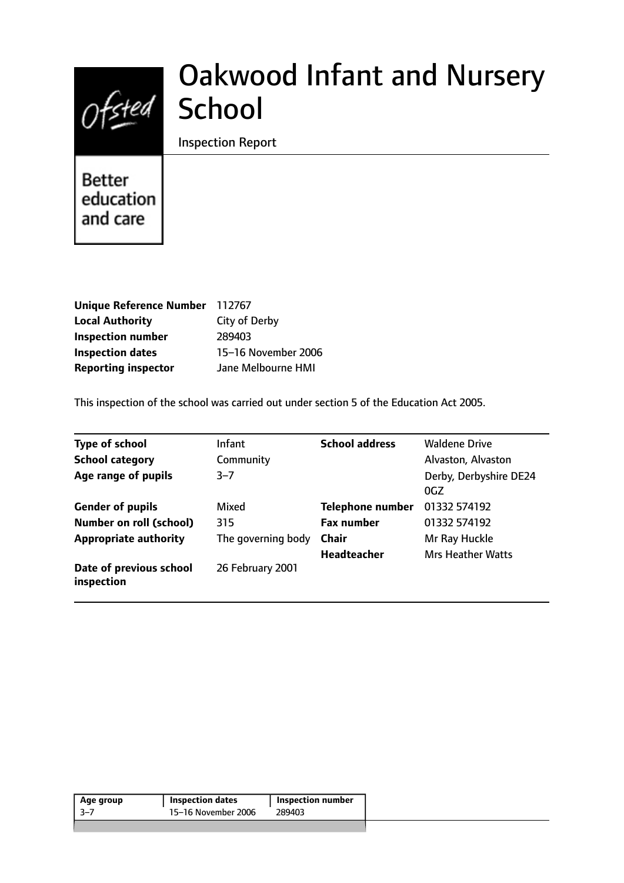

# Oakwood Infant and Nursery

Inspection Report

**Better** education and care

| Unique Reference Number 112767 |                     |
|--------------------------------|---------------------|
| <b>Local Authority</b>         | City of Derby       |
| <b>Inspection number</b>       | 289403              |
| <b>Inspection dates</b>        | 15-16 November 2006 |
| <b>Reporting inspector</b>     | Jane Melbourne HMI  |

This inspection of the school was carried out under section 5 of the Education Act 2005.

| <b>Type of school</b>                 | Infant             | <b>School address</b>   | <b>Waldene Drive</b>          |
|---------------------------------------|--------------------|-------------------------|-------------------------------|
| <b>School category</b>                | Community          |                         | Alvaston, Alvaston            |
| Age range of pupils                   | $3 - 7$            |                         | Derby, Derbyshire DE24<br>0GZ |
| <b>Gender of pupils</b>               | Mixed              | <b>Telephone number</b> | 01332 574192                  |
| <b>Number on roll (school)</b>        | 315                | <b>Fax number</b>       | 01332 574192                  |
| <b>Appropriate authority</b>          | The governing body | <b>Chair</b>            | Mr Ray Huckle                 |
|                                       |                    | <b>Headteacher</b>      | <b>Mrs Heather Watts</b>      |
| Date of previous school<br>inspection | 26 February 2001   |                         |                               |

| 15–16 November 2006<br>-3–7<br>289403 | Age group | <b>Inspection dates</b> | Inspection number |
|---------------------------------------|-----------|-------------------------|-------------------|
|                                       |           |                         |                   |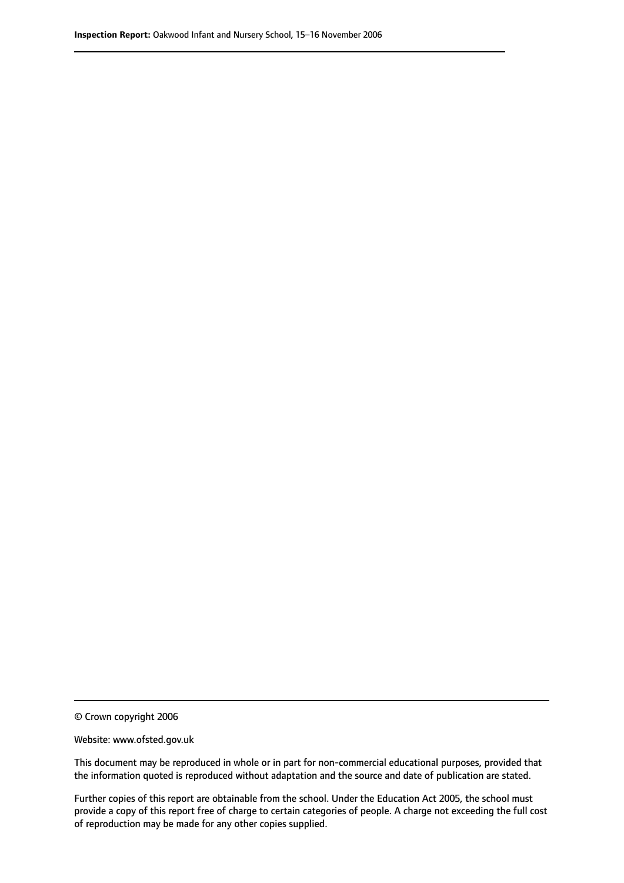© Crown copyright 2006

Website: www.ofsted.gov.uk

This document may be reproduced in whole or in part for non-commercial educational purposes, provided that the information quoted is reproduced without adaptation and the source and date of publication are stated.

Further copies of this report are obtainable from the school. Under the Education Act 2005, the school must provide a copy of this report free of charge to certain categories of people. A charge not exceeding the full cost of reproduction may be made for any other copies supplied.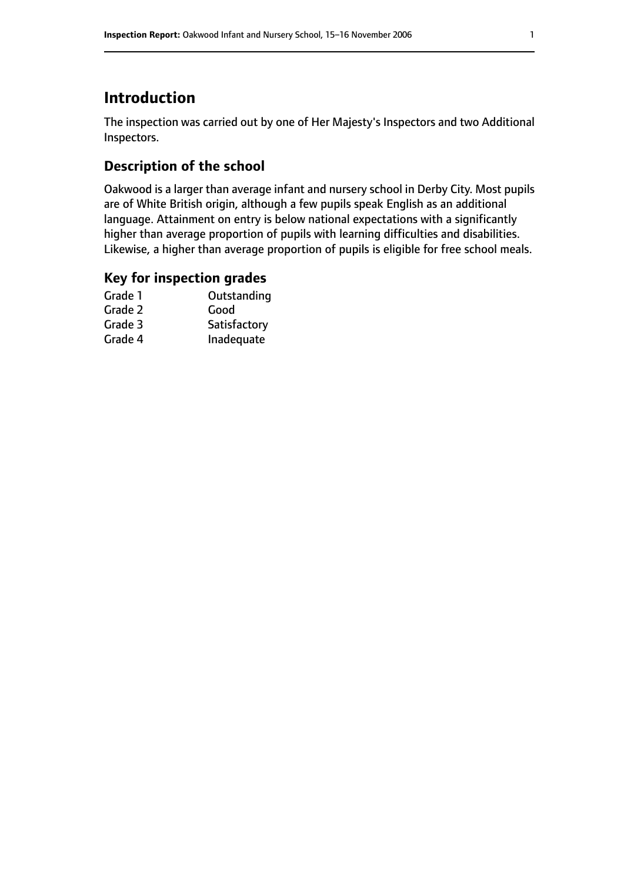## **Introduction**

The inspection was carried out by one of Her Majesty's Inspectors and two Additional Inspectors.

## **Description of the school**

Oakwood is a larger than average infant and nursery school in Derby City. Most pupils are of White British origin, although a few pupils speak English as an additional language. Attainment on entry is below national expectations with a significantly higher than average proportion of pupils with learning difficulties and disabilities. Likewise, a higher than average proportion of pupils is eligible for free school meals.

#### **Key for inspection grades**

| Outstanding  |
|--------------|
| Good         |
| Satisfactory |
| Inadequate   |
|              |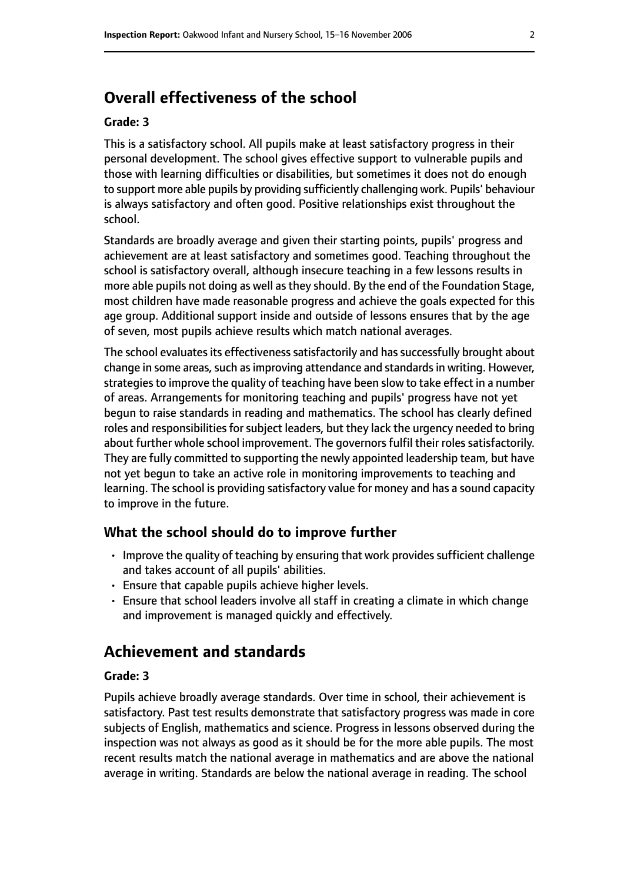## **Overall effectiveness of the school**

#### **Grade: 3**

This is a satisfactory school. All pupils make at least satisfactory progress in their personal development. The school gives effective support to vulnerable pupils and those with learning difficulties or disabilities, but sometimes it does not do enough to support more able pupils by providing sufficiently challenging work. Pupils' behaviour is always satisfactory and often good. Positive relationships exist throughout the school.

Standards are broadly average and given their starting points, pupils' progress and achievement are at least satisfactory and sometimes good. Teaching throughout the school is satisfactory overall, although insecure teaching in a few lessons results in more able pupils not doing as well asthey should. By the end of the Foundation Stage, most children have made reasonable progress and achieve the goals expected for this age group. Additional support inside and outside of lessons ensures that by the age of seven, most pupils achieve results which match national averages.

The school evaluates its effectiveness satisfactorily and has successfully brought about change in some areas, such as improving attendance and standards in writing. However, strategies to improve the quality of teaching have been slow to take effect in a number of areas. Arrangements for monitoring teaching and pupils' progress have not yet begun to raise standards in reading and mathematics. The school has clearly defined roles and responsibilities for subject leaders, but they lack the urgency needed to bring about further whole school improvement. The governors fulfil their roles satisfactorily. They are fully committed to supporting the newly appointed leadership team, but have not yet begun to take an active role in monitoring improvements to teaching and learning. The school is providing satisfactory value for money and has a sound capacity to improve in the future.

#### **What the school should do to improve further**

- Improve the quality of teaching by ensuring that work provides sufficient challenge and takes account of all pupils' abilities.
- Ensure that capable pupils achieve higher levels.
- Ensure that school leaders involve all staff in creating a climate in which change and improvement is managed quickly and effectively.

## **Achievement and standards**

#### **Grade: 3**

Pupils achieve broadly average standards. Over time in school, their achievement is satisfactory. Past test results demonstrate that satisfactory progress was made in core subjects of English, mathematics and science. Progress in lessons observed during the inspection was not always as good as it should be for the more able pupils. The most recent results match the national average in mathematics and are above the national average in writing. Standards are below the national average in reading. The school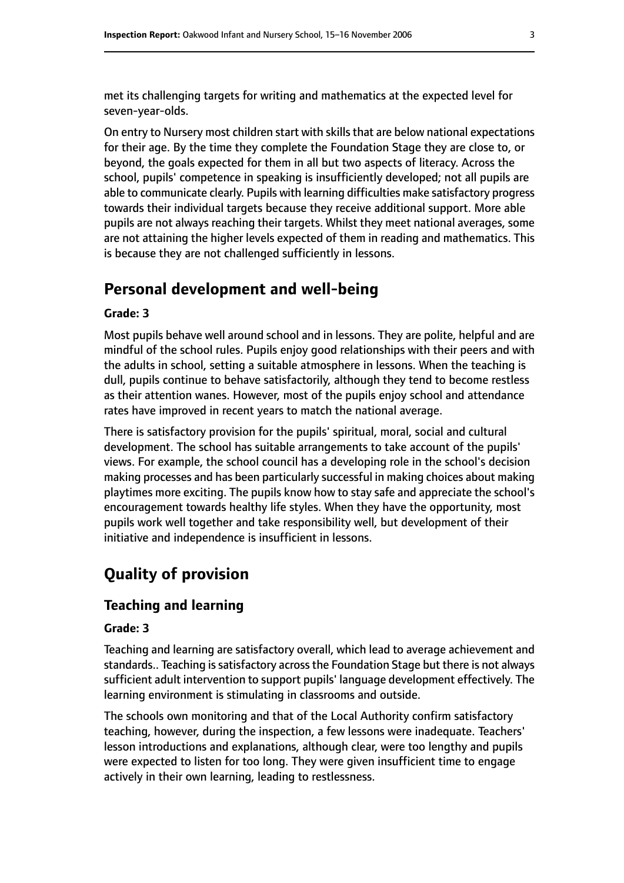met its challenging targets for writing and mathematics at the expected level for seven-year-olds.

On entry to Nursery most children start with skills that are below national expectations for their age. By the time they complete the Foundation Stage they are close to, or beyond, the goals expected for them in all but two aspects of literacy. Across the school, pupils' competence in speaking is insufficiently developed; not all pupils are able to communicate clearly. Pupils with learning difficulties make satisfactory progress towards their individual targets because they receive additional support. More able pupils are not always reaching their targets. Whilst they meet national averages, some are not attaining the higher levels expected of them in reading and mathematics. This is because they are not challenged sufficiently in lessons.

## **Personal development and well-being**

#### **Grade: 3**

Most pupils behave well around school and in lessons. They are polite, helpful and are mindful of the school rules. Pupils enjoy good relationships with their peers and with the adults in school, setting a suitable atmosphere in lessons. When the teaching is dull, pupils continue to behave satisfactorily, although they tend to become restless as their attention wanes. However, most of the pupils enjoy school and attendance rates have improved in recent years to match the national average.

There is satisfactory provision for the pupils' spiritual, moral, social and cultural development. The school has suitable arrangements to take account of the pupils' views. For example, the school council has a developing role in the school's decision making processes and has been particularly successful in making choices about making playtimes more exciting. The pupils know how to stay safe and appreciate the school's encouragement towards healthy life styles. When they have the opportunity, most pupils work well together and take responsibility well, but development of their initiative and independence is insufficient in lessons.

# **Quality of provision**

#### **Teaching and learning**

#### **Grade: 3**

Teaching and learning are satisfactory overall, which lead to average achievement and standards.. Teaching is satisfactory across the Foundation Stage but there is not always sufficient adult intervention to support pupils' language development effectively. The learning environment is stimulating in classrooms and outside.

The schools own monitoring and that of the Local Authority confirm satisfactory teaching, however, during the inspection, a few lessons were inadequate. Teachers' lesson introductions and explanations, although clear, were too lengthy and pupils were expected to listen for too long. They were given insufficient time to engage actively in their own learning, leading to restlessness.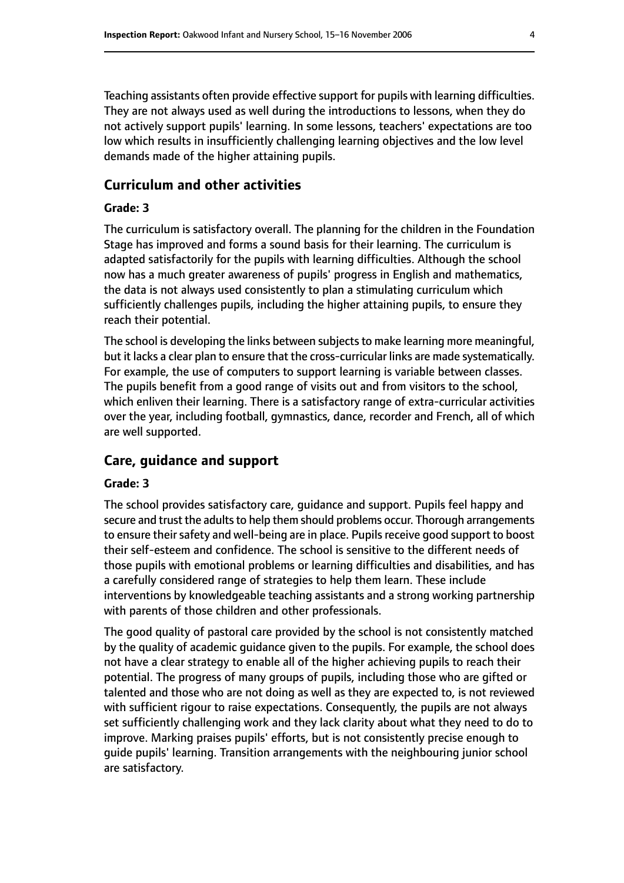Teaching assistants often provide effective support for pupils with learning difficulties. They are not always used as well during the introductions to lessons, when they do not actively support pupils' learning. In some lessons, teachers' expectations are too low which results in insufficiently challenging learning objectives and the low level demands made of the higher attaining pupils.

#### **Curriculum and other activities**

#### **Grade: 3**

The curriculum is satisfactory overall. The planning for the children in the Foundation Stage has improved and forms a sound basis for their learning. The curriculum is adapted satisfactorily for the pupils with learning difficulties. Although the school now has a much greater awareness of pupils' progress in English and mathematics, the data is not always used consistently to plan a stimulating curriculum which sufficiently challenges pupils, including the higher attaining pupils, to ensure they reach their potential.

The school is developing the links between subjects to make learning more meaningful, but it lacks a clear plan to ensure that the cross-curricular links are made systematically. For example, the use of computers to support learning is variable between classes. The pupils benefit from a good range of visits out and from visitors to the school, which enliven their learning. There is a satisfactory range of extra-curricular activities over the year, including football, gymnastics, dance, recorder and French, all of which are well supported.

#### **Care, guidance and support**

#### **Grade: 3**

The school provides satisfactory care, guidance and support. Pupils feel happy and secure and trust the adults to help them should problems occur. Thorough arrangements to ensure their safety and well-being are in place. Pupils receive good support to boost their self-esteem and confidence. The school is sensitive to the different needs of those pupils with emotional problems or learning difficulties and disabilities, and has a carefully considered range of strategies to help them learn. These include interventions by knowledgeable teaching assistants and a strong working partnership with parents of those children and other professionals.

The good quality of pastoral care provided by the school is not consistently matched by the quality of academic guidance given to the pupils. For example, the school does not have a clear strategy to enable all of the higher achieving pupils to reach their potential. The progress of many groups of pupils, including those who are gifted or talented and those who are not doing as well as they are expected to, is not reviewed with sufficient rigour to raise expectations. Consequently, the pupils are not always set sufficiently challenging work and they lack clarity about what they need to do to improve. Marking praises pupils' efforts, but is not consistently precise enough to guide pupils' learning. Transition arrangements with the neighbouring junior school are satisfactory.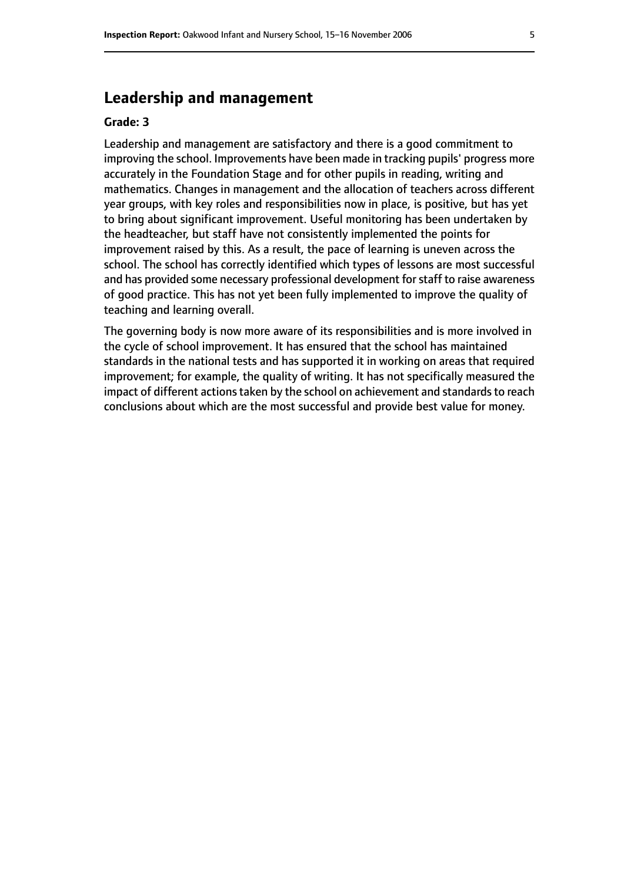## **Leadership and management**

#### **Grade: 3**

Leadership and management are satisfactory and there is a good commitment to improving the school. Improvements have been made in tracking pupils' progress more accurately in the Foundation Stage and for other pupils in reading, writing and mathematics. Changes in management and the allocation of teachers across different year groups, with key roles and responsibilities now in place, is positive, but has yet to bring about significant improvement. Useful monitoring has been undertaken by the headteacher, but staff have not consistently implemented the points for improvement raised by this. As a result, the pace of learning is uneven across the school. The school has correctly identified which types of lessons are most successful and has provided some necessary professional development for staff to raise awareness of good practice. This has not yet been fully implemented to improve the quality of teaching and learning overall.

The governing body is now more aware of its responsibilities and is more involved in the cycle of school improvement. It has ensured that the school has maintained standards in the national tests and has supported it in working on areas that required improvement; for example, the quality of writing. It has not specifically measured the impact of different actions taken by the school on achievement and standards to reach conclusions about which are the most successful and provide best value for money.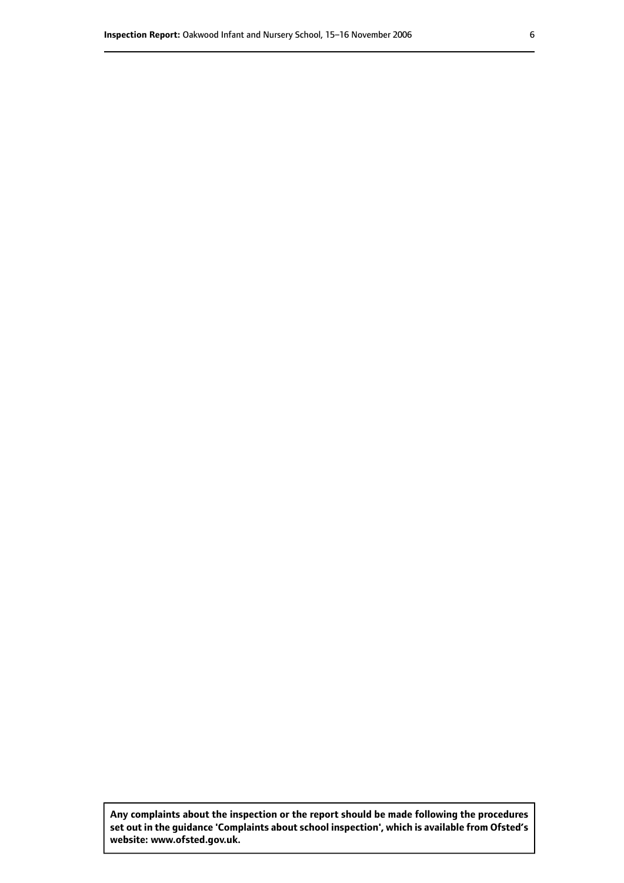**Any complaints about the inspection or the report should be made following the procedures set out inthe guidance 'Complaints about school inspection', whichis available from Ofsted's website: www.ofsted.gov.uk.**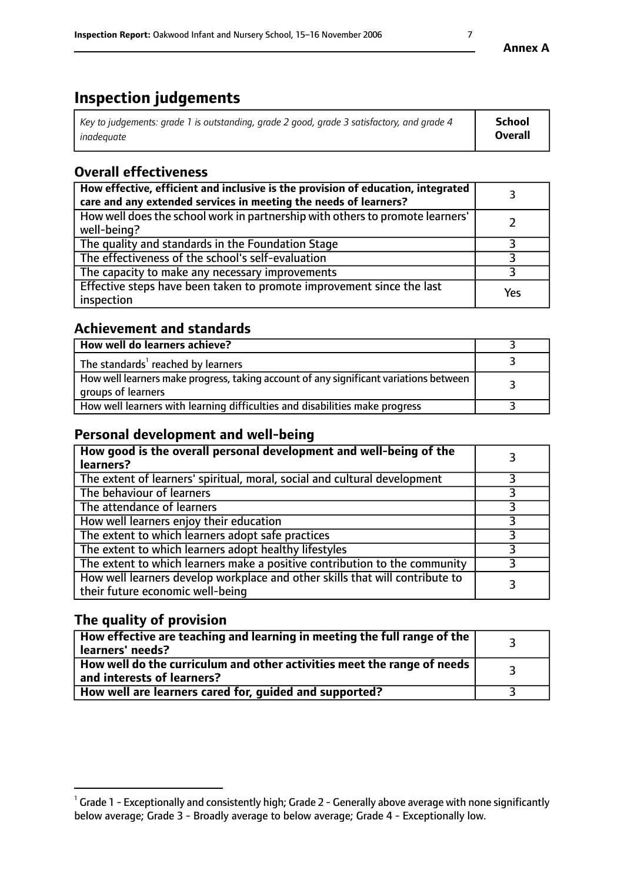# **Inspection judgements**

| Key to judgements: grade 1 is outstanding, grade 2 good, grade 3 satisfactory, and grade 4 | School  |
|--------------------------------------------------------------------------------------------|---------|
| inadeauate                                                                                 | Overall |

## **Overall effectiveness**

| How effective, efficient and inclusive is the provision of education, integrated<br>care and any extended services in meeting the needs of learners? |     |
|------------------------------------------------------------------------------------------------------------------------------------------------------|-----|
| How well does the school work in partnership with others to promote learners'<br>well-being?                                                         |     |
| The quality and standards in the Foundation Stage                                                                                                    |     |
| The effectiveness of the school's self-evaluation                                                                                                    |     |
| The capacity to make any necessary improvements                                                                                                      |     |
| Effective steps have been taken to promote improvement since the last<br>inspection                                                                  | Yes |

### **Achievement and standards**

| How well do learners achieve?                                                                               |  |
|-------------------------------------------------------------------------------------------------------------|--|
| The standards <sup>1</sup> reached by learners                                                              |  |
| How well learners make progress, taking account of any significant variations between<br>groups of learners |  |
| How well learners with learning difficulties and disabilities make progress                                 |  |

## **Personal development and well-being**

| How good is the overall personal development and well-being of the<br>learners?                                  |  |
|------------------------------------------------------------------------------------------------------------------|--|
| The extent of learners' spiritual, moral, social and cultural development                                        |  |
| The behaviour of learners                                                                                        |  |
| The attendance of learners                                                                                       |  |
| How well learners enjoy their education                                                                          |  |
| The extent to which learners adopt safe practices                                                                |  |
| The extent to which learners adopt healthy lifestyles                                                            |  |
| The extent to which learners make a positive contribution to the community                                       |  |
| How well learners develop workplace and other skills that will contribute to<br>their future economic well-being |  |

## **The quality of provision**

| How effective are teaching and learning in meeting the full range of the<br>learners' needs?          |  |
|-------------------------------------------------------------------------------------------------------|--|
| How well do the curriculum and other activities meet the range of needs<br>and interests of learners? |  |
| How well are learners cared for, guided and supported?                                                |  |

 $^1$  Grade 1 - Exceptionally and consistently high; Grade 2 - Generally above average with none significantly below average; Grade 3 - Broadly average to below average; Grade 4 - Exceptionally low.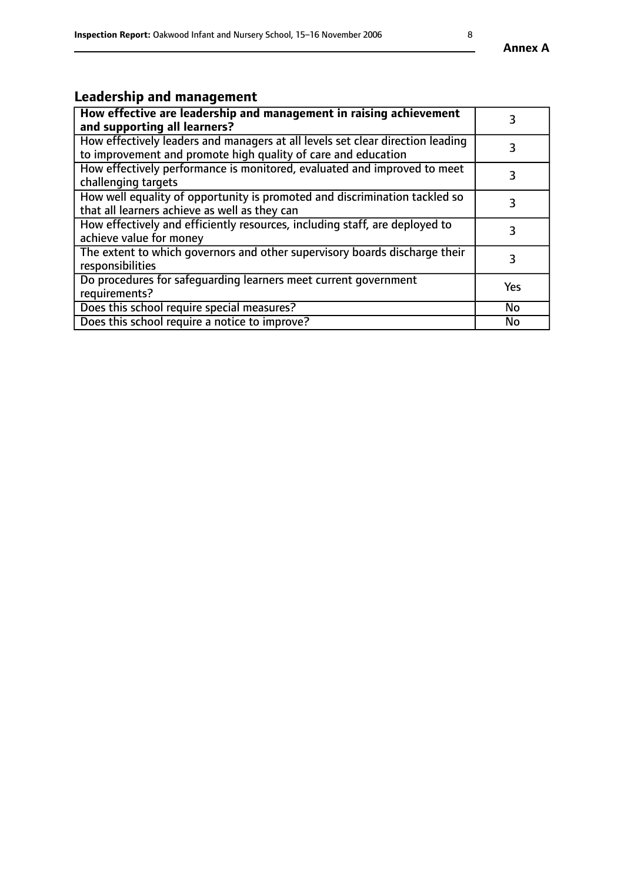# **Leadership and management**

| How effective are leadership and management in raising achievement<br>and supporting all learners?                                              |           |
|-------------------------------------------------------------------------------------------------------------------------------------------------|-----------|
| How effectively leaders and managers at all levels set clear direction leading<br>to improvement and promote high quality of care and education |           |
| How effectively performance is monitored, evaluated and improved to meet<br>challenging targets                                                 | 3         |
| How well equality of opportunity is promoted and discrimination tackled so<br>that all learners achieve as well as they can                     |           |
| How effectively and efficiently resources, including staff, are deployed to<br>achieve value for money                                          | 3         |
| The extent to which governors and other supervisory boards discharge their<br>responsibilities                                                  | 3         |
| Do procedures for safequarding learners meet current government<br>requirements?                                                                | Yes       |
| Does this school require special measures?                                                                                                      | No        |
| Does this school require a notice to improve?                                                                                                   | <b>No</b> |